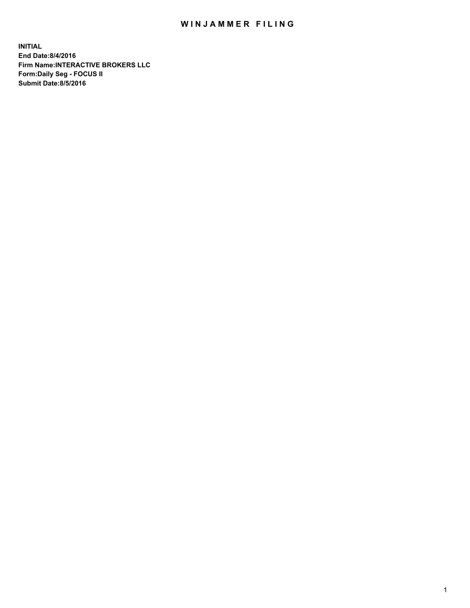## WIN JAMMER FILING

**INITIAL End Date:8/4/2016 Firm Name:INTERACTIVE BROKERS LLC Form:Daily Seg - FOCUS II Submit Date:8/5/2016**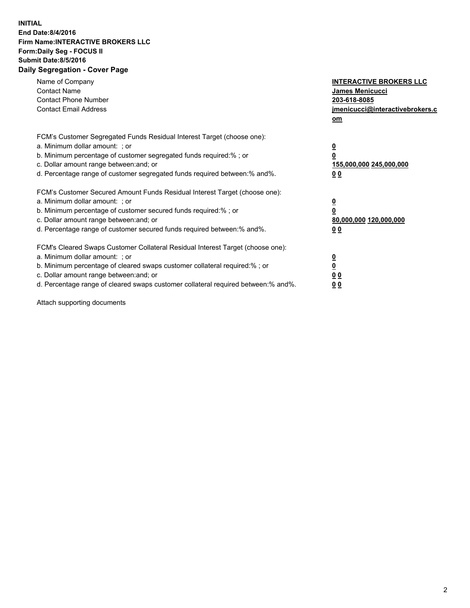## **INITIAL End Date:8/4/2016 Firm Name:INTERACTIVE BROKERS LLC Form:Daily Seg - FOCUS II Submit Date:8/5/2016 Daily Segregation - Cover Page**

| Name of Company<br><b>Contact Name</b><br><b>Contact Phone Number</b><br><b>Contact Email Address</b>                                                                                                                                                                                                                          | <b>INTERACTIVE BROKERS LLC</b><br>James Menicucci<br>203-618-8085<br>jmenicucci@interactivebrokers.c<br>om |
|--------------------------------------------------------------------------------------------------------------------------------------------------------------------------------------------------------------------------------------------------------------------------------------------------------------------------------|------------------------------------------------------------------------------------------------------------|
| FCM's Customer Segregated Funds Residual Interest Target (choose one):<br>a. Minimum dollar amount: ; or<br>b. Minimum percentage of customer segregated funds required:%; or<br>c. Dollar amount range between: and; or<br>d. Percentage range of customer segregated funds required between:% and%.                          | $\overline{\mathbf{0}}$<br>$\overline{\mathbf{0}}$<br>155,000,000 245,000,000<br>00                        |
| FCM's Customer Secured Amount Funds Residual Interest Target (choose one):<br>a. Minimum dollar amount: ; or<br>b. Minimum percentage of customer secured funds required:%; or<br>c. Dollar amount range between: and; or<br>d. Percentage range of customer secured funds required between: % and %.                          | $\overline{\mathbf{0}}$<br>$\mathbf 0$<br>80,000,000 120,000,000<br>00                                     |
| FCM's Cleared Swaps Customer Collateral Residual Interest Target (choose one):<br>a. Minimum dollar amount: ; or<br>b. Minimum percentage of cleared swaps customer collateral required:% ; or<br>c. Dollar amount range between: and; or<br>d. Percentage range of cleared swaps customer collateral required between:% and%. | $\overline{\mathbf{0}}$<br>$\underline{\mathbf{0}}$<br>0 <sub>0</sub><br>0 <sub>0</sub>                    |

Attach supporting documents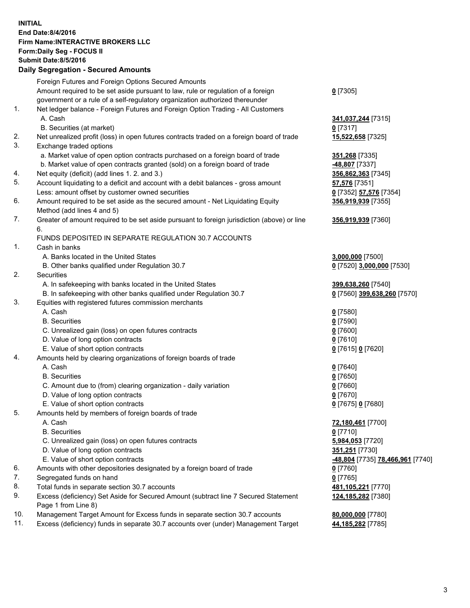## **INITIAL End Date:8/4/2016 Firm Name:INTERACTIVE BROKERS LLC Form:Daily Seg - FOCUS II Submit Date:8/5/2016 Daily Segregation - Secured Amounts**

|     | Foreign Futures and Foreign Options Secured Amounts                                         |                                  |
|-----|---------------------------------------------------------------------------------------------|----------------------------------|
|     | Amount required to be set aside pursuant to law, rule or regulation of a foreign            | $0$ [7305]                       |
|     | government or a rule of a self-regulatory organization authorized thereunder                |                                  |
| 1.  | Net ledger balance - Foreign Futures and Foreign Option Trading - All Customers             |                                  |
|     | A. Cash                                                                                     | 341,037,244 [7315]               |
|     | B. Securities (at market)                                                                   | $0$ [7317]                       |
| 2.  | Net unrealized profit (loss) in open futures contracts traded on a foreign board of trade   | 15,522,658 [7325]                |
| 3.  | Exchange traded options                                                                     |                                  |
|     | a. Market value of open option contracts purchased on a foreign board of trade              | 351,268 [7335]                   |
|     | b. Market value of open contracts granted (sold) on a foreign board of trade                | -48,807 [7337]                   |
| 4.  | Net equity (deficit) (add lines 1.2. and 3.)                                                | 356,862,363 [7345]               |
| 5.  | Account liquidating to a deficit and account with a debit balances - gross amount           | 57,576 [7351]                    |
|     | Less: amount offset by customer owned securities                                            | 0 [7352] 57,576 [7354]           |
| 6.  | Amount required to be set aside as the secured amount - Net Liquidating Equity              | 356,919,939 [7355]               |
|     | Method (add lines 4 and 5)                                                                  |                                  |
| 7.  | Greater of amount required to be set aside pursuant to foreign jurisdiction (above) or line | 356,919,939 [7360]               |
|     | 6.                                                                                          |                                  |
|     | FUNDS DEPOSITED IN SEPARATE REGULATION 30.7 ACCOUNTS                                        |                                  |
| 1.  | Cash in banks                                                                               |                                  |
|     | A. Banks located in the United States                                                       | 3,000,000 [7500]                 |
|     | B. Other banks qualified under Regulation 30.7                                              | 0 [7520] 3,000,000 [7530]        |
| 2.  | Securities                                                                                  |                                  |
|     | A. In safekeeping with banks located in the United States                                   | 399,638,260 [7540]               |
|     | B. In safekeeping with other banks qualified under Regulation 30.7                          | 0 [7560] 399,638,260 [7570]      |
| 3.  | Equities with registered futures commission merchants                                       |                                  |
|     | A. Cash                                                                                     | $0$ [7580]                       |
|     | <b>B.</b> Securities                                                                        | $0$ [7590]                       |
|     | C. Unrealized gain (loss) on open futures contracts                                         | $0$ [7600]                       |
|     | D. Value of long option contracts                                                           | $0$ [7610]                       |
|     | E. Value of short option contracts                                                          | 0 [7615] 0 [7620]                |
| 4.  | Amounts held by clearing organizations of foreign boards of trade                           |                                  |
|     | A. Cash                                                                                     | $0$ [7640]                       |
|     | <b>B.</b> Securities                                                                        | $0$ [7650]                       |
|     | C. Amount due to (from) clearing organization - daily variation                             | $0$ [7660]                       |
|     | D. Value of long option contracts                                                           | $0$ [7670]                       |
|     | E. Value of short option contracts                                                          | 0 [7675] 0 [7680]                |
| 5.  | Amounts held by members of foreign boards of trade                                          |                                  |
|     | A. Cash                                                                                     | 72,180,461 [7700]                |
|     | <b>B.</b> Securities                                                                        | $0$ [7710]                       |
|     | C. Unrealized gain (loss) on open futures contracts                                         | 5,984,053 [7720]                 |
|     | D. Value of long option contracts                                                           | 351,251 [7730]                   |
|     | E. Value of short option contracts                                                          | -48,804 [7735] 78,466,961 [7740] |
| 6.  | Amounts with other depositories designated by a foreign board of trade                      | $0$ [7760]                       |
| 7.  | Segregated funds on hand                                                                    | $0$ [7765]                       |
| 8.  | Total funds in separate section 30.7 accounts                                               | 481, 105, 221 [7770]             |
| 9.  | Excess (deficiency) Set Aside for Secured Amount (subtract line 7 Secured Statement         | 124,185,282 [7380]               |
|     | Page 1 from Line 8)                                                                         |                                  |
| 10. | Management Target Amount for Excess funds in separate section 30.7 accounts                 | 80,000,000 [7780]                |
| 11. | Excess (deficiency) funds in separate 30.7 accounts over (under) Management Target          | 44,185,282 [7785]                |
|     |                                                                                             |                                  |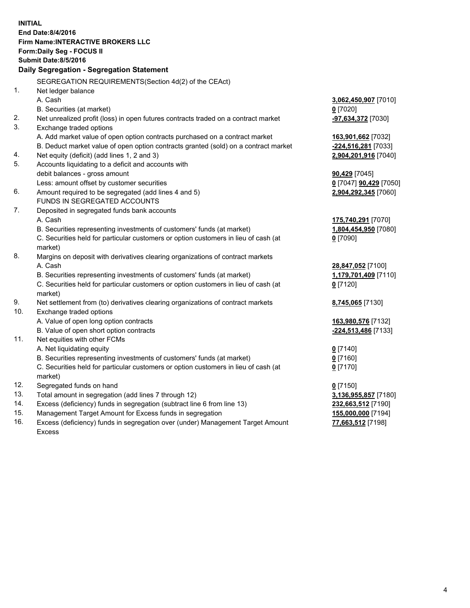**INITIAL End Date:8/4/2016 Firm Name:INTERACTIVE BROKERS LLC Form:Daily Seg - FOCUS II Submit Date:8/5/2016 Daily Segregation - Segregation Statement** SEGREGATION REQUIREMENTS(Section 4d(2) of the CEAct) 1. Net ledger balance A. Cash **3,062,450,907** [7010] B. Securities (at market) **0** [7020] 2. Net unrealized profit (loss) in open futures contracts traded on a contract market **-97,634,372** [7030] 3. Exchange traded options A. Add market value of open option contracts purchased on a contract market **163,901,662** [7032] B. Deduct market value of open option contracts granted (sold) on a contract market **-224,516,281** [7033] 4. Net equity (deficit) (add lines 1, 2 and 3) **2,904,201,916** [7040] 5. Accounts liquidating to a deficit and accounts with debit balances - gross amount **90,429** [7045] Less: amount offset by customer securities **0** [7047] **90,429** [7050] 6. Amount required to be segregated (add lines 4 and 5) **2,904,292,345** [7060] FUNDS IN SEGREGATED ACCOUNTS 7. Deposited in segregated funds bank accounts A. Cash **175,740,291** [7070] B. Securities representing investments of customers' funds (at market) **1,804,454,950** [7080] C. Securities held for particular customers or option customers in lieu of cash (at market) **0** [7090] 8. Margins on deposit with derivatives clearing organizations of contract markets A. Cash **28,847,052** [7100] B. Securities representing investments of customers' funds (at market) **1,179,701,409** [7110] C. Securities held for particular customers or option customers in lieu of cash (at market) **0** [7120] 9. Net settlement from (to) derivatives clearing organizations of contract markets **8,745,065** [7130] 10. Exchange traded options A. Value of open long option contracts **163,980,576** [7132] B. Value of open short option contracts **-224,513,486** [7133] 11. Net equities with other FCMs A. Net liquidating equity **0** [7140] B. Securities representing investments of customers' funds (at market) **0** [7160] C. Securities held for particular customers or option customers in lieu of cash (at market) **0** [7170] 12. Segregated funds on hand **0** [7150] 13. Total amount in segregation (add lines 7 through 12) **3,136,955,857** [7180] 14. Excess (deficiency) funds in segregation (subtract line 6 from line 13) **232,663,512** [7190] 15. Management Target Amount for Excess funds in segregation **155,000,000** [7194] 16. Excess (deficiency) funds in segregation over (under) Management Target Amount **77,663,512** [7198]

Excess